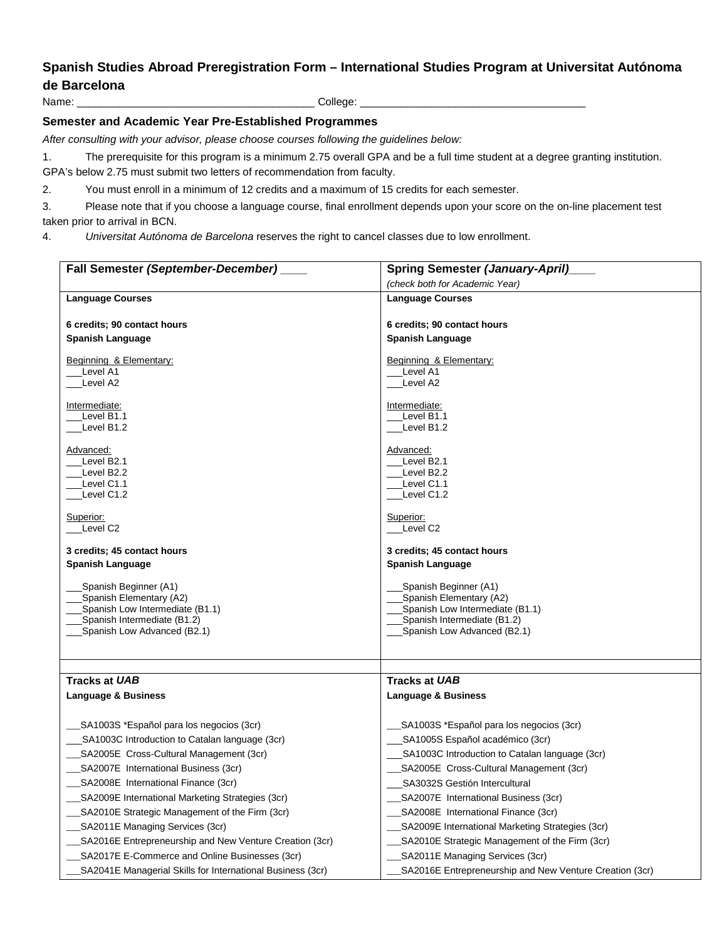# **Spanish Studies Abroad Preregistration Form – International Studies Program at Universitat Autónoma de Barcelona**

Name: \_\_\_\_\_\_\_\_\_\_\_\_\_\_\_\_\_\_\_\_\_\_\_\_\_\_\_\_\_\_\_\_\_\_\_\_\_\_\_\_ College: \_\_\_\_\_\_\_\_\_\_\_\_\_\_\_\_\_\_\_\_\_\_\_\_\_\_\_\_\_\_\_\_\_\_\_\_\_\_

## **Semester and Academic Year Pre-Established Programmes**

*After consulting with your advisor, please choose courses following the guidelines below:*

1. The prerequisite for this program is a minimum 2.75 overall GPA and be a full time student at a degree granting institution.

GPA's below 2.75 must submit two letters of recommendation from faculty.

2. You must enroll in a minimum of 12 credits and a maximum of 15 credits for each semester.

3. Please note that if you choose a language course, final enrollment depends upon your score on the on-line placement test taken prior to arrival in BCN.

4. *Universitat Autónoma de Barcelona* reserves the right to cancel classes due to low enrollment.

| Fall Semester (September-December)                                                          | <b>Spring Semester (January-April)</b>                  |
|---------------------------------------------------------------------------------------------|---------------------------------------------------------|
|                                                                                             | (check both for Academic Year)                          |
| <b>Language Courses</b>                                                                     | <b>Language Courses</b>                                 |
|                                                                                             |                                                         |
| 6 credits; 90 contact hours                                                                 | 6 credits; 90 contact hours                             |
| <b>Spanish Language</b>                                                                     | <b>Spanish Language</b>                                 |
| Beginning & Elementary:                                                                     | Beginning & Elementary:                                 |
| Level A1                                                                                    | Level A1                                                |
| Level A2                                                                                    | Level A2                                                |
| Intermediate:                                                                               | Intermediate:                                           |
| Level B1.1                                                                                  | Level B1.1                                              |
| Level B1.2                                                                                  | Level B1.2                                              |
| Advanced:                                                                                   | Advanced:                                               |
| Level B <sub>2.1</sub>                                                                      | Level B2.1                                              |
| Level B <sub>2.2</sub>                                                                      | Level B2.2                                              |
| Level C1.1<br>Level C1.2                                                                    | Level C1.1<br>Level C1.2                                |
|                                                                                             |                                                         |
| Superior:                                                                                   | Superior:                                               |
| Level C <sub>2</sub>                                                                        | Level C2                                                |
| 3 credits; 45 contact hours                                                                 | 3 credits; 45 contact hours                             |
| Spanish Language                                                                            | <b>Spanish Language</b>                                 |
|                                                                                             |                                                         |
| Spanish Beginner (A1)<br>Spanish Elementary (A2)                                            | Spanish Beginner (A1)<br>Spanish Elementary (A2)        |
| Spanish Low Intermediate (B1.1)                                                             | Spanish Low Intermediate (B1.1)                         |
| Spanish Intermediate (B1.2)                                                                 | Spanish Intermediate (B1.2)                             |
| Spanish Low Advanced (B2.1)                                                                 | Spanish Low Advanced (B2.1)                             |
|                                                                                             |                                                         |
|                                                                                             |                                                         |
| <b>Tracks at UAB</b>                                                                        | <b>Tracks at UAB</b>                                    |
| Language & Business                                                                         | <b>Language &amp; Business</b>                          |
|                                                                                             |                                                         |
| _SA1003S *Español para los negocios (3cr)<br>SA1003C Introduction to Catalan language (3cr) | SA1003S *Español para los negocios (3cr)                |
|                                                                                             | SA1005S Español académico (3cr)                         |
| SA2005E Cross-Cultural Management (3cr)<br>SA2007E International Business (3cr)             | SA1003C Introduction to Catalan language (3cr)          |
|                                                                                             | SA2005E Cross-Cultural Management (3cr)                 |
| SA2008E International Finance (3cr)                                                         | SA3032S Gestión Intercultural                           |
| SA2009E International Marketing Strategies (3cr)                                            | SA2007E International Business (3cr)                    |
| SA2010E Strategic Management of the Firm (3cr)                                              | SA2008E International Finance (3cr)                     |
| __SA2011E Managing Services (3cr)                                                           | SA2009E International Marketing Strategies (3cr)        |
| _SA2016E Entrepreneurship and New Venture Creation (3cr)                                    | SA2010E Strategic Management of the Firm (3cr)          |
| SA2017E E-Commerce and Online Businesses (3cr)                                              | SA2011E Managing Services (3cr)                         |
| SA2041E Managerial Skills for International Business (3cr)                                  | SA2016E Entrepreneurship and New Venture Creation (3cr) |